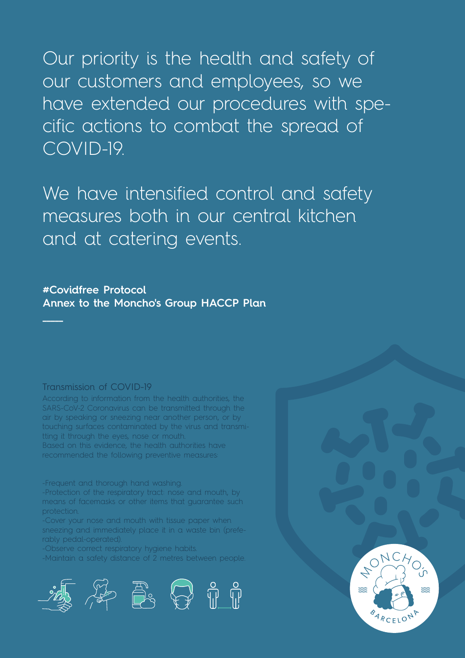Our priority is the health and safety of our customers and employees, so we have extended our procedures with specific actions to combat the spread of COVID-19.

We have intensified control and safety measures both in our central kitchen and at catering events.

# **#Covidfree Protocol Annex to the Moncho's Group HACCP Plan**

## Transmission of COVID-19

**\_\_\_\_\_**

According to information from the health authorities, the SARS-CoV-2 Coronavirus can be transmitted through the air by speaking or sneezing near another person, or by touching surfaces contaminated by the virus and transmitting it through the eyes, nose or mouth. Based on this evidence, the health authorities have recommended the following preventive measures:

-Frequent and thorough hand washing.

-Protection of the respiratory tract: nose and mouth, by means of facemasks or other items that guarantee such protection.

-Cover your nose and mouth with tissue paper when sneezing and immediately place it in a waste bin (preferably pedal-operated).

-Observe correct respiratory hygiene habits.

-Maintain a safety distance of 2 metres between people.



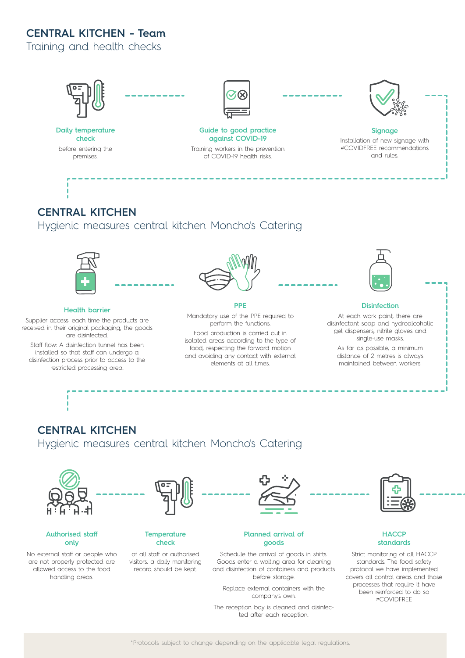# **CENTRAL KITCHEN - Team**

Training and health checks



The reception bay is cleaned and disinfected after each reception.